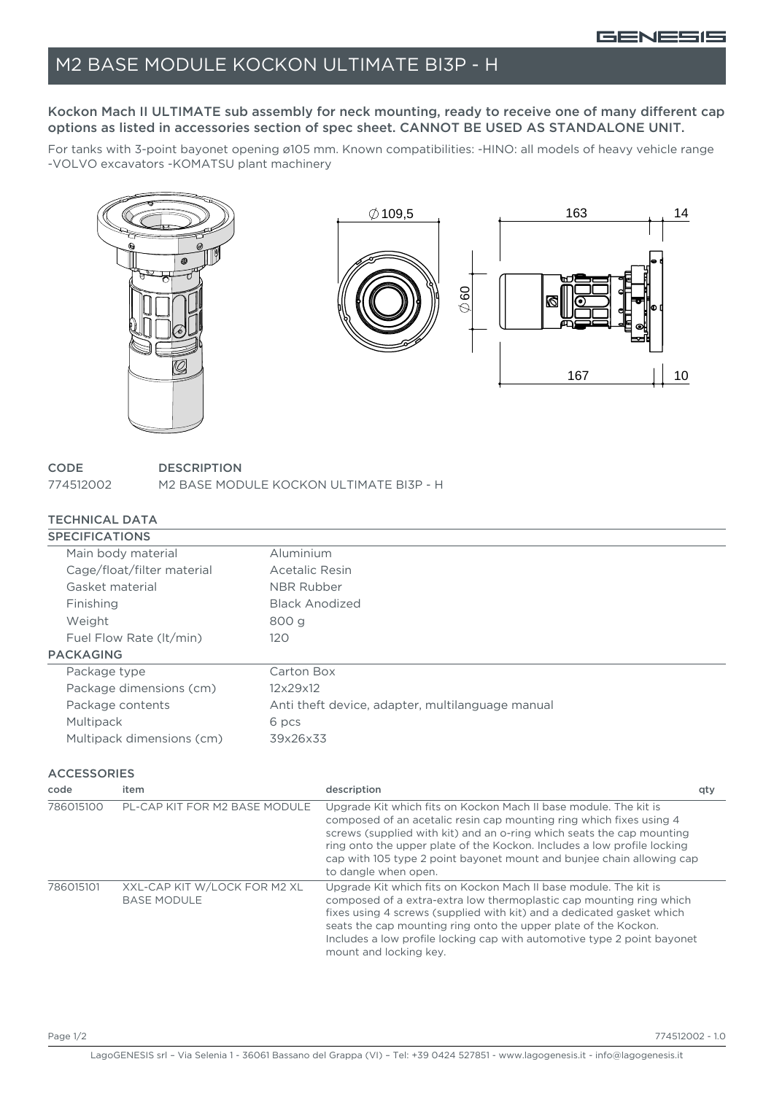# M2 BASE MODULE KOCKON ULTIMATE BI3P - H

### Kockon Mach II ULTIMATE sub assembly for neck mounting, ready to receive one of many different cap options as listed in accessories section of spec sheet. CANNOT BE USED AS STANDALONE UNIT.

For tanks with 3-point bayonet opening ø105 mm. Known compatibilities: -HINO: all models of heavy vehicle range -VOLVO excavators -KOMATSU plant machinery



#### **CODE DESCRIPTION**

774512002 M2 BASE MODULE KOCKON ULTIMATE BI3P - H

### TECHNICAL DATA

| <b>SPECIFICATIONS</b>      |                                                  |
|----------------------------|--------------------------------------------------|
| Main body material         | Aluminium                                        |
| Cage/float/filter material | Acetalic Resin                                   |
| Gasket material            | NBR Rubber                                       |
| Finishing                  | <b>Black Anodized</b>                            |
| Weight                     | 800 g                                            |
| Fuel Flow Rate (It/min)    | 120                                              |
| <b>PACKAGING</b>           |                                                  |
| Package type               | Carton Box                                       |
| Package dimensions (cm)    | 12x29x12                                         |
| Package contents           | Anti theft device, adapter, multilanguage manual |
| Multipack                  | 6 pcs                                            |
| Multipack dimensions (cm)  | 39x26x33                                         |

**ACCESSORIES** 

| code      | item                                               | description                                                                                                                                                                                                                                                                                                                                                                                  | qty |
|-----------|----------------------------------------------------|----------------------------------------------------------------------------------------------------------------------------------------------------------------------------------------------------------------------------------------------------------------------------------------------------------------------------------------------------------------------------------------------|-----|
| 786015100 | PL-CAP KIT FOR M2 BASE MODULE                      | Upgrade Kit which fits on Kockon Mach II base module. The kit is<br>composed of an acetalic resin cap mounting ring which fixes using 4<br>screws (supplied with kit) and an o-ring which seats the cap mounting<br>ring onto the upper plate of the Kockon. Includes a low profile locking<br>cap with 105 type 2 point bayonet mount and bunjee chain allowing cap<br>to dangle when open. |     |
| 786015101 | XXL-CAP KIT W/LOCK FOR M2 XL<br><b>BASE MODULE</b> | Upgrade Kit which fits on Kockon Mach II base module. The kit is<br>composed of a extra-extra low thermoplastic cap mounting ring which<br>fixes using 4 screws (supplied with kit) and a dedicated gasket which<br>seats the cap mounting ring onto the upper plate of the Kockon.<br>Includes a low profile locking cap with automotive type 2 point bayonet<br>mount and locking key.     |     |